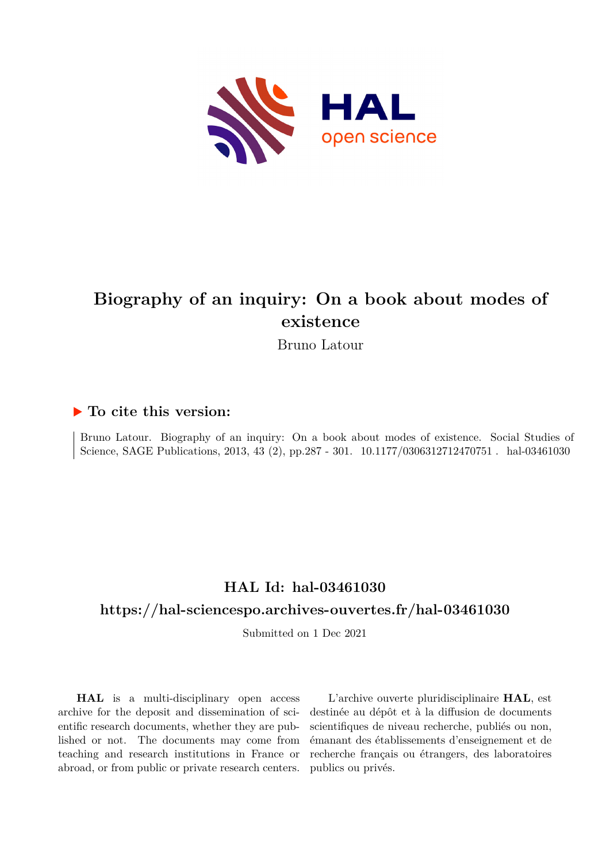

# **Biography of an inquiry: On a book about modes of existence**

Bruno Latour

### **To cite this version:**

Bruno Latour. Biography of an inquiry: On a book about modes of existence. Social Studies of Science, SAGE Publications, 2013, 43 (2), pp.287 - 301. 10.1177/0306312712470751 . hal-03461030

## **HAL Id: hal-03461030 <https://hal-sciencespo.archives-ouvertes.fr/hal-03461030>**

Submitted on 1 Dec 2021

**HAL** is a multi-disciplinary open access archive for the deposit and dissemination of scientific research documents, whether they are published or not. The documents may come from teaching and research institutions in France or abroad, or from public or private research centers.

L'archive ouverte pluridisciplinaire **HAL**, est destinée au dépôt et à la diffusion de documents scientifiques de niveau recherche, publiés ou non, émanant des établissements d'enseignement et de recherche français ou étrangers, des laboratoires publics ou privés.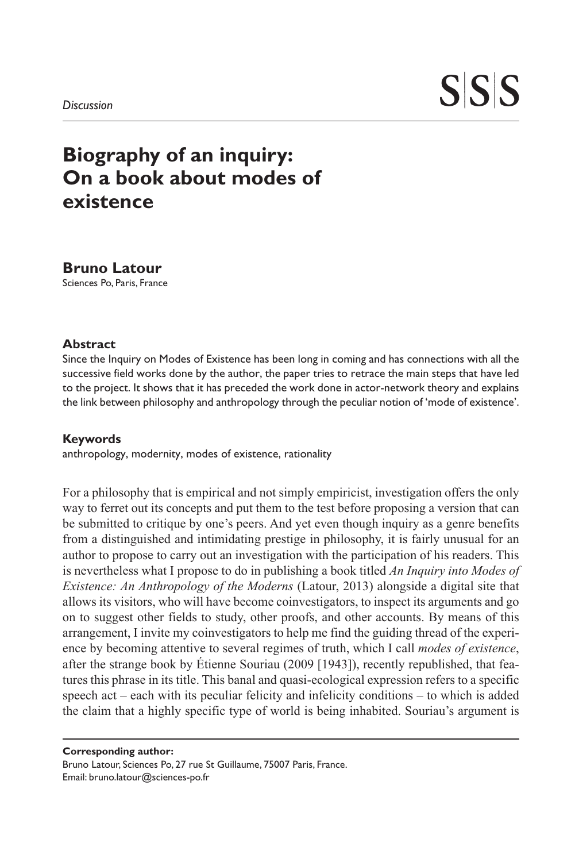## **Biography of an inquiry: On a book about modes of existence**

**Bruno Latour** Sciences Po, Paris, France

#### **Abstract**

Since the Inquiry on Modes of Existence has been long in coming and has connections with all the successive field works done by the author, the paper tries to retrace the main steps that have led to the project. It shows that it has preceded the work done in actor-network theory and explains the link between philosophy and anthropology through the peculiar notion of 'mode of existence'.

#### **Keywords**

anthropology, modernity, modes of existence, rationality

For a philosophy that is empirical and not simply empiricist, investigation offers the only way to ferret out its concepts and put them to the test before proposing a version that can be submitted to critique by one's peers. And yet even though inquiry as a genre benefits from a distinguished and intimidating prestige in philosophy, it is fairly unusual for an author to propose to carry out an investigation with the participation of his readers. This is nevertheless what I propose to do in publishing a book titled *An Inquiry into Modes of Existence: An Anthropology of the Moderns* (Latour, 2013) alongside a digital site that allows its visitors, who will have become coinvestigators, to inspect its arguments and go on to suggest other fields to study, other proofs, and other accounts. By means of this arrangement, I invite my coinvestigators to help me find the guiding thread of the experience by becoming attentive to several regimes of truth, which I call *modes of existence*, after the strange book by Étienne Souriau (2009 [1943]), recently republished, that features this phrase in its title. This banal and quasi-ecological expression refers to a specific speech act – each with its peculiar felicity and infelicity conditions – to which is added the claim that a highly specific type of world is being inhabited. Souriau's argument is

**Corresponding author:** Bruno Latour, Sciences Po, 27 rue St Guillaume, 75007 Paris, France. Email: bruno.latour@sciences-po.fr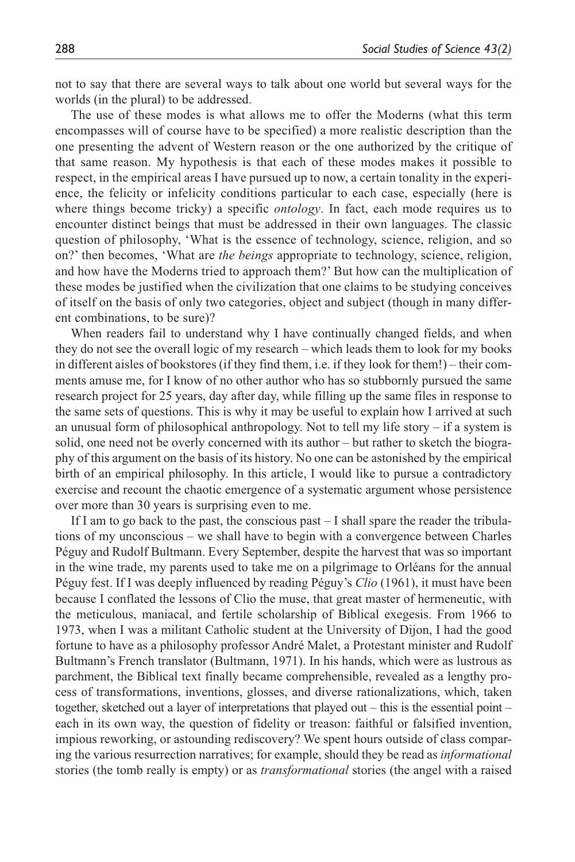not to say that there are several ways to talk about one world but several ways for the worlds (in the plural) to be addressed.

The use of these modes is what allows me to offer the Moderns (what this term encompasses will of course have to be specified) a more realistic description than the one presenting the advent of Western reason or the one authorized by the critique of that same reason. My hypothesis is that each of these modes makes it possible to respect, in the empirical areas I have pursued up to now, a certain tonality in the experience, the felicity or infelicity conditions particular to each case, especially (here is where things become tricky) a specific *ontology*. In fact, each mode requires us to encounter distinct beings that must be addressed in their own languages. The classic question of philosophy, 'What is the essence of technology, science, religion, and so on?' then becomes, 'What are *the beings* appropriate to technology, science, religion, and how have the Moderns tried to approach them?' But how can the multiplication of these modes be justified when the civilization that one claims to be studying conceives of itself on the basis of only two categories, object and subject (though in many different combinations, to be sure)?

When readers fail to understand why I have continually changed fields, and when they do not see the overall logic of my research – which leads them to look for my books in different aisles of bookstores (if they find them, i.e. if they look for them!) – their comments amuse me, for I know of no other author who has so stubbornly pursued the same research project for 25 years, day after day, while filling up the same files in response to the same sets of questions. This is why it may be useful to explain how I arrived at such an unusual form of philosophical anthropology. Not to tell my life story – if a system is solid, one need not be overly concerned with its author – but rather to sketch the biography of this argument on the basis of its history. No one can be astonished by the empirical birth of an empirical philosophy. In this article, I would like to pursue a contradictory exercise and recount the chaotic emergence of a systematic argument whose persistence over more than 30 years is surprising even to me.

If I am to go back to the past, the conscious past  $-$  I shall spare the reader the tribulations of my unconscious – we shall have to begin with a convergence between Charles Péguy and Rudolf Bultmann. Every September, despite the harvest that was so important in the wine trade, my parents used to take me on a pilgrimage to Orléans for the annual Péguy fest. If I was deeply influenced by reading Péguy's *Clio* (1961), it must have been because I conflated the lessons of Clio the muse, that great master of hermeneutic, with the meticulous, maniacal, and fertile scholarship of Biblical exegesis. From 1966 to 1973, when I was a militant Catholic student at the University of Dijon, I had the good fortune to have as a philosophy professor André Malet, a Protestant minister and Rudolf Bultmann's French translator (Bultmann, 1971). In his hands, which were as lustrous as parchment, the Biblical text finally became comprehensible, revealed as a lengthy process of transformations, inventions, glosses, and diverse rationalizations, which, taken together, sketched out a layer of interpretations that played out – this is the essential point – each in its own way, the question of fidelity or treason: faithful or falsified invention, impious reworking, or astounding rediscovery? We spent hours outside of class comparing the various resurrection narratives; for example, should they be read as *informational* stories (the tomb really is empty) or as *transformational* stories (the angel with a raised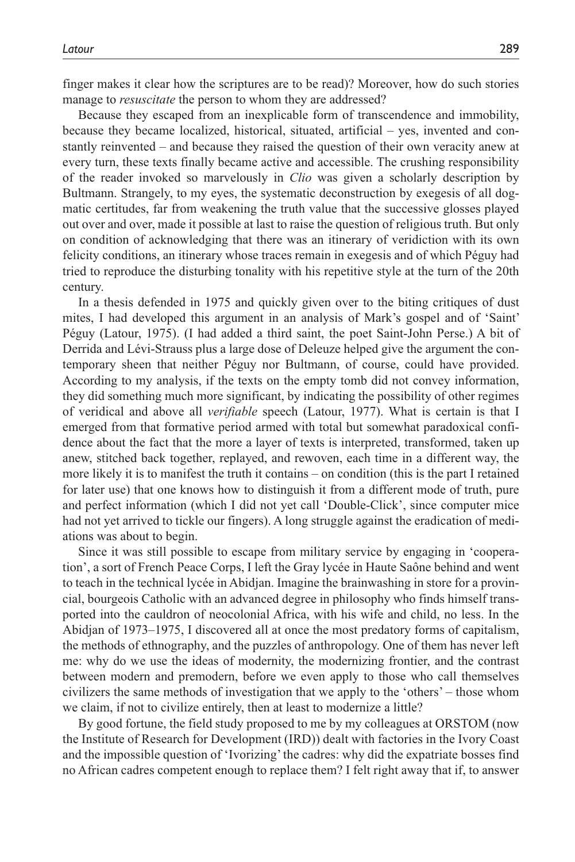finger makes it clear how the scriptures are to be read)? Moreover, how do such stories manage to *resuscitate* the person to whom they are addressed?

Because they escaped from an inexplicable form of transcendence and immobility, because they became localized, historical, situated, artificial – yes, invented and constantly reinvented – and because they raised the question of their own veracity anew at every turn, these texts finally became active and accessible. The crushing responsibility of the reader invoked so marvelously in *Clio* was given a scholarly description by Bultmann. Strangely, to my eyes, the systematic deconstruction by exegesis of all dogmatic certitudes, far from weakening the truth value that the successive glosses played out over and over, made it possible at last to raise the question of religious truth. But only on condition of acknowledging that there was an itinerary of veridiction with its own felicity conditions, an itinerary whose traces remain in exegesis and of which Péguy had tried to reproduce the disturbing tonality with his repetitive style at the turn of the 20th century.

In a thesis defended in 1975 and quickly given over to the biting critiques of dust mites, I had developed this argument in an analysis of Mark's gospel and of 'Saint' Péguy (Latour, 1975). (I had added a third saint, the poet Saint-John Perse.) A bit of Derrida and Lévi-Strauss plus a large dose of Deleuze helped give the argument the contemporary sheen that neither Péguy nor Bultmann, of course, could have provided. According to my analysis, if the texts on the empty tomb did not convey information, they did something much more significant, by indicating the possibility of other regimes of veridical and above all *verifiable* speech (Latour, 1977). What is certain is that I emerged from that formative period armed with total but somewhat paradoxical confidence about the fact that the more a layer of texts is interpreted, transformed, taken up anew, stitched back together, replayed, and rewoven, each time in a different way, the more likely it is to manifest the truth it contains – on condition (this is the part I retained for later use) that one knows how to distinguish it from a different mode of truth, pure and perfect information (which I did not yet call 'Double-Click', since computer mice had not yet arrived to tickle our fingers). A long struggle against the eradication of mediations was about to begin.

Since it was still possible to escape from military service by engaging in 'cooperation', a sort of French Peace Corps, I left the Gray lycée in Haute Saône behind and went to teach in the technical lycée in Abidjan. Imagine the brainwashing in store for a provincial, bourgeois Catholic with an advanced degree in philosophy who finds himself transported into the cauldron of neocolonial Africa, with his wife and child, no less. In the Abidjan of 1973–1975, I discovered all at once the most predatory forms of capitalism, the methods of ethnography, and the puzzles of anthropology. One of them has never left me: why do we use the ideas of modernity, the modernizing frontier, and the contrast between modern and premodern, before we even apply to those who call themselves civilizers the same methods of investigation that we apply to the 'others' – those whom we claim, if not to civilize entirely, then at least to modernize a little?

By good fortune, the field study proposed to me by my colleagues at ORSTOM (now the Institute of Research for Development (IRD)) dealt with factories in the Ivory Coast and the impossible question of 'Ivorizing' the cadres: why did the expatriate bosses find no African cadres competent enough to replace them? I felt right away that if, to answer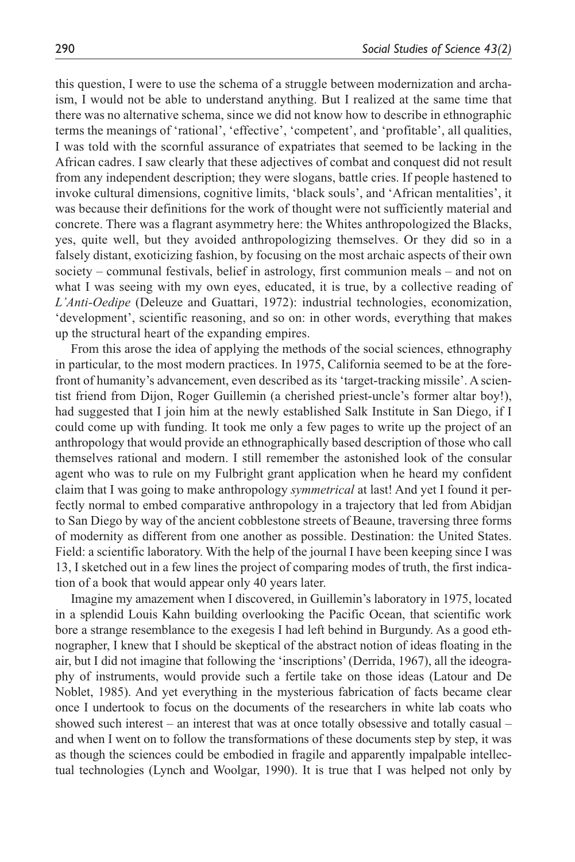this question, I were to use the schema of a struggle between modernization and archaism, I would not be able to understand anything. But I realized at the same time that there was no alternative schema, since we did not know how to describe in ethnographic terms the meanings of 'rational', 'effective', 'competent', and 'profitable', all qualities, I was told with the scornful assurance of expatriates that seemed to be lacking in the African cadres. I saw clearly that these adjectives of combat and conquest did not result from any independent description; they were slogans, battle cries. If people hastened to invoke cultural dimensions, cognitive limits, 'black souls', and 'African mentalities', it was because their definitions for the work of thought were not sufficiently material and concrete. There was a flagrant asymmetry here: the Whites anthropologized the Blacks, yes, quite well, but they avoided anthropologizing themselves. Or they did so in a falsely distant, exoticizing fashion, by focusing on the most archaic aspects of their own society – communal festivals, belief in astrology, first communion meals – and not on what I was seeing with my own eyes, educated, it is true, by a collective reading of *L'Anti-Oedipe* (Deleuze and Guattari, 1972): industrial technologies, economization, 'development', scientific reasoning, and so on: in other words, everything that makes up the structural heart of the expanding empires.

From this arose the idea of applying the methods of the social sciences, ethnography in particular, to the most modern practices. In 1975, California seemed to be at the forefront of humanity's advancement, even described as its 'target-tracking missile'. A scientist friend from Dijon, Roger Guillemin (a cherished priest-uncle's former altar boy!), had suggested that I join him at the newly established Salk Institute in San Diego, if I could come up with funding. It took me only a few pages to write up the project of an anthropology that would provide an ethnographically based description of those who call themselves rational and modern. I still remember the astonished look of the consular agent who was to rule on my Fulbright grant application when he heard my confident claim that I was going to make anthropology *symmetrical* at last! And yet I found it perfectly normal to embed comparative anthropology in a trajectory that led from Abidjan to San Diego by way of the ancient cobblestone streets of Beaune, traversing three forms of modernity as different from one another as possible. Destination: the United States. Field: a scientific laboratory. With the help of the journal I have been keeping since I was 13, I sketched out in a few lines the project of comparing modes of truth, the first indication of a book that would appear only 40 years later.

Imagine my amazement when I discovered, in Guillemin's laboratory in 1975, located in a splendid Louis Kahn building overlooking the Pacific Ocean, that scientific work bore a strange resemblance to the exegesis I had left behind in Burgundy. As a good ethnographer, I knew that I should be skeptical of the abstract notion of ideas floating in the air, but I did not imagine that following the 'inscriptions' (Derrida, 1967), all the ideography of instruments, would provide such a fertile take on those ideas (Latour and De Noblet, 1985). And yet everything in the mysterious fabrication of facts became clear once I undertook to focus on the documents of the researchers in white lab coats who showed such interest – an interest that was at once totally obsessive and totally casual – and when I went on to follow the transformations of these documents step by step, it was as though the sciences could be embodied in fragile and apparently impalpable intellectual technologies (Lynch and Woolgar, 1990). It is true that I was helped not only by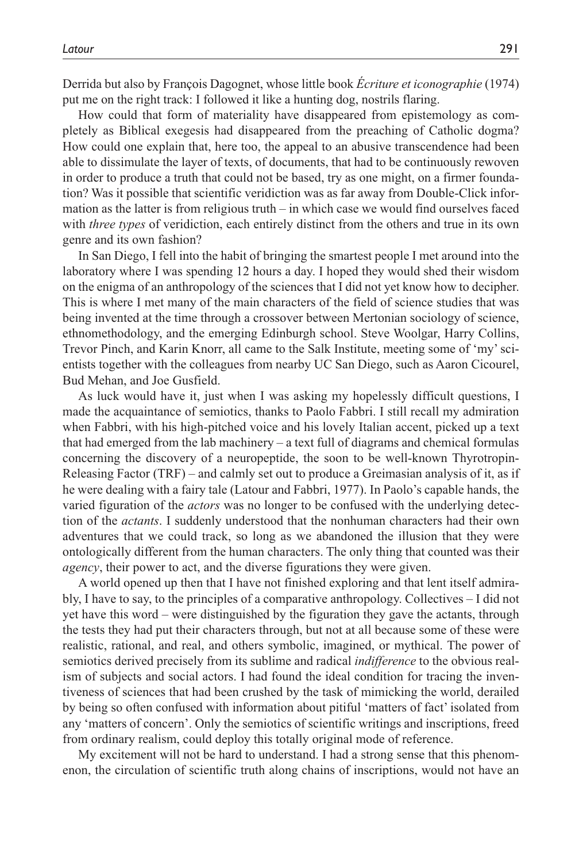Derrida but also by François Dagognet, whose little book *Écriture et iconographie* (1974) put me on the right track: I followed it like a hunting dog, nostrils flaring.

How could that form of materiality have disappeared from epistemology as completely as Biblical exegesis had disappeared from the preaching of Catholic dogma? How could one explain that, here too, the appeal to an abusive transcendence had been able to dissimulate the layer of texts, of documents, that had to be continuously rewoven in order to produce a truth that could not be based, try as one might, on a firmer foundation? Was it possible that scientific veridiction was as far away from Double-Click information as the latter is from religious truth – in which case we would find ourselves faced with *three types* of veridiction, each entirely distinct from the others and true in its own genre and its own fashion?

In San Diego, I fell into the habit of bringing the smartest people I met around into the laboratory where I was spending 12 hours a day. I hoped they would shed their wisdom on the enigma of an anthropology of the sciences that I did not yet know how to decipher. This is where I met many of the main characters of the field of science studies that was being invented at the time through a crossover between Mertonian sociology of science, ethnomethodology, and the emerging Edinburgh school. Steve Woolgar, Harry Collins, Trevor Pinch, and Karin Knorr, all came to the Salk Institute, meeting some of 'my' scientists together with the colleagues from nearby UC San Diego, such as Aaron Cicourel, Bud Mehan, and Joe Gusfield.

As luck would have it, just when I was asking my hopelessly difficult questions, I made the acquaintance of semiotics, thanks to Paolo Fabbri. I still recall my admiration when Fabbri, with his high-pitched voice and his lovely Italian accent, picked up a text that had emerged from the lab machinery – a text full of diagrams and chemical formulas concerning the discovery of a neuropeptide, the soon to be well-known Thyrotropin-Releasing Factor (TRF) – and calmly set out to produce a Greimasian analysis of it, as if he were dealing with a fairy tale (Latour and Fabbri, 1977). In Paolo's capable hands, the varied figuration of the *actors* was no longer to be confused with the underlying detection of the *actants*. I suddenly understood that the nonhuman characters had their own adventures that we could track, so long as we abandoned the illusion that they were ontologically different from the human characters. The only thing that counted was their *agency*, their power to act, and the diverse figurations they were given.

A world opened up then that I have not finished exploring and that lent itself admirably, I have to say, to the principles of a comparative anthropology. Collectives – I did not yet have this word – were distinguished by the figuration they gave the actants, through the tests they had put their characters through, but not at all because some of these were realistic, rational, and real, and others symbolic, imagined, or mythical. The power of semiotics derived precisely from its sublime and radical *indifference* to the obvious realism of subjects and social actors. I had found the ideal condition for tracing the inventiveness of sciences that had been crushed by the task of mimicking the world, derailed by being so often confused with information about pitiful 'matters of fact' isolated from any 'matters of concern'. Only the semiotics of scientific writings and inscriptions, freed from ordinary realism, could deploy this totally original mode of reference.

My excitement will not be hard to understand. I had a strong sense that this phenomenon, the circulation of scientific truth along chains of inscriptions, would not have an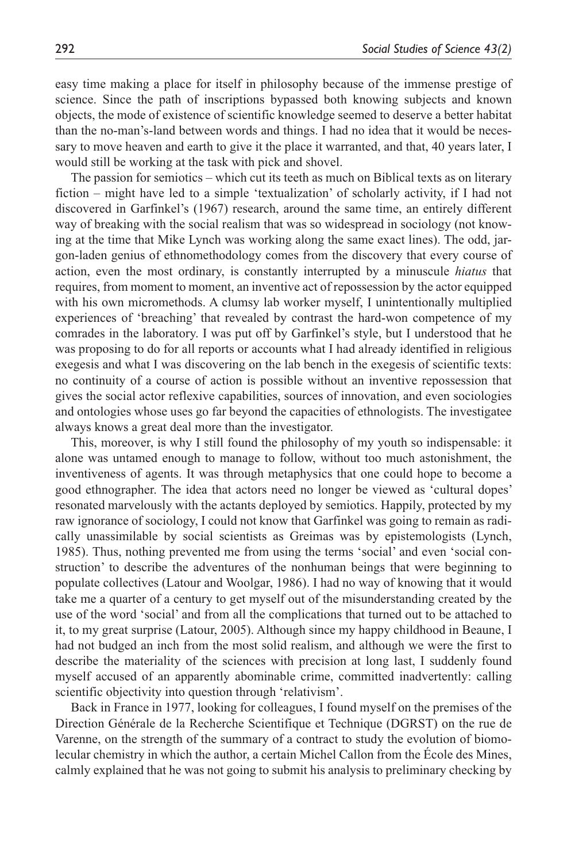easy time making a place for itself in philosophy because of the immense prestige of science. Since the path of inscriptions bypassed both knowing subjects and known objects, the mode of existence of scientific knowledge seemed to deserve a better habitat than the no-man's-land between words and things. I had no idea that it would be necessary to move heaven and earth to give it the place it warranted, and that, 40 years later, I would still be working at the task with pick and shovel.

The passion for semiotics – which cut its teeth as much on Biblical texts as on literary fiction – might have led to a simple 'textualization' of scholarly activity, if I had not discovered in Garfinkel's (1967) research, around the same time, an entirely different way of breaking with the social realism that was so widespread in sociology (not knowing at the time that Mike Lynch was working along the same exact lines). The odd, jargon-laden genius of ethnomethodology comes from the discovery that every course of action, even the most ordinary, is constantly interrupted by a minuscule *hiatus* that requires, from moment to moment, an inventive act of repossession by the actor equipped with his own micromethods. A clumsy lab worker myself, I unintentionally multiplied experiences of 'breaching' that revealed by contrast the hard-won competence of my comrades in the laboratory. I was put off by Garfinkel's style, but I understood that he was proposing to do for all reports or accounts what I had already identified in religious exegesis and what I was discovering on the lab bench in the exegesis of scientific texts: no continuity of a course of action is possible without an inventive repossession that gives the social actor reflexive capabilities, sources of innovation, and even sociologies and ontologies whose uses go far beyond the capacities of ethnologists. The investigatee always knows a great deal more than the investigator.

This, moreover, is why I still found the philosophy of my youth so indispensable: it alone was untamed enough to manage to follow, without too much astonishment, the inventiveness of agents. It was through metaphysics that one could hope to become a good ethnographer. The idea that actors need no longer be viewed as 'cultural dopes' resonated marvelously with the actants deployed by semiotics. Happily, protected by my raw ignorance of sociology, I could not know that Garfinkel was going to remain as radically unassimilable by social scientists as Greimas was by epistemologists (Lynch, 1985). Thus, nothing prevented me from using the terms 'social' and even 'social construction' to describe the adventures of the nonhuman beings that were beginning to populate collectives (Latour and Woolgar, 1986). I had no way of knowing that it would take me a quarter of a century to get myself out of the misunderstanding created by the use of the word 'social' and from all the complications that turned out to be attached to it, to my great surprise (Latour, 2005). Although since my happy childhood in Beaune, I had not budged an inch from the most solid realism, and although we were the first to describe the materiality of the sciences with precision at long last, I suddenly found myself accused of an apparently abominable crime, committed inadvertently: calling scientific objectivity into question through 'relativism'.

Back in France in 1977, looking for colleagues, I found myself on the premises of the Direction Générale de la Recherche Scientifique et Technique (DGRST) on the rue de Varenne, on the strength of the summary of a contract to study the evolution of biomolecular chemistry in which the author, a certain Michel Callon from the École des Mines, calmly explained that he was not going to submit his analysis to preliminary checking by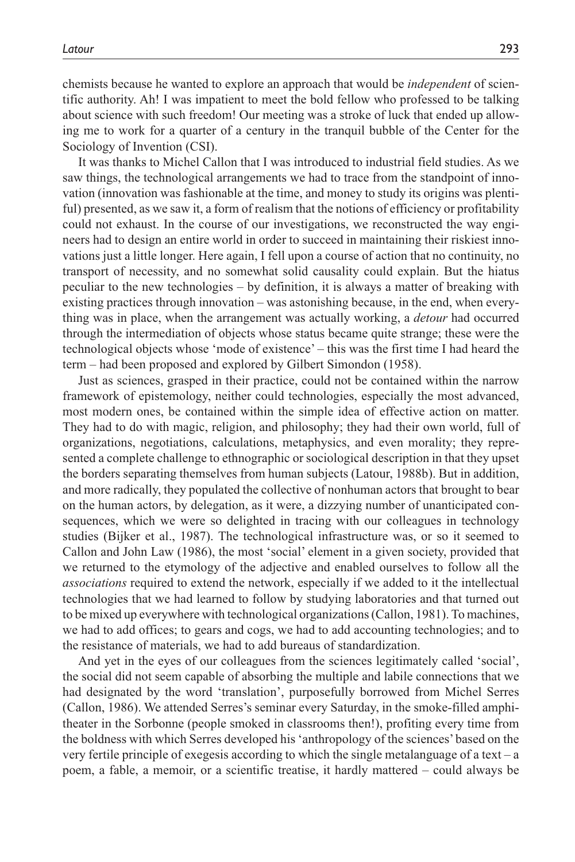chemists because he wanted to explore an approach that would be *independent* of scientific authority. Ah! I was impatient to meet the bold fellow who professed to be talking about science with such freedom! Our meeting was a stroke of luck that ended up allowing me to work for a quarter of a century in the tranquil bubble of the Center for the Sociology of Invention (CSI).

It was thanks to Michel Callon that I was introduced to industrial field studies. As we saw things, the technological arrangements we had to trace from the standpoint of innovation (innovation was fashionable at the time, and money to study its origins was plentiful) presented, as we saw it, a form of realism that the notions of efficiency or profitability could not exhaust. In the course of our investigations, we reconstructed the way engineers had to design an entire world in order to succeed in maintaining their riskiest innovations just a little longer. Here again, I fell upon a course of action that no continuity, no transport of necessity, and no somewhat solid causality could explain. But the hiatus peculiar to the new technologies – by definition, it is always a matter of breaking with existing practices through innovation – was astonishing because, in the end, when everything was in place, when the arrangement was actually working, a *detour* had occurred through the intermediation of objects whose status became quite strange; these were the technological objects whose 'mode of existence' – this was the first time I had heard the term – had been proposed and explored by Gilbert Simondon (1958).

Just as sciences, grasped in their practice, could not be contained within the narrow framework of epistemology, neither could technologies, especially the most advanced, most modern ones, be contained within the simple idea of effective action on matter. They had to do with magic, religion, and philosophy; they had their own world, full of organizations, negotiations, calculations, metaphysics, and even morality; they represented a complete challenge to ethnographic or sociological description in that they upset the borders separating themselves from human subjects (Latour, 1988b). But in addition, and more radically, they populated the collective of nonhuman actors that brought to bear on the human actors, by delegation, as it were, a dizzying number of unanticipated consequences, which we were so delighted in tracing with our colleagues in technology studies (Bijker et al., 1987). The technological infrastructure was, or so it seemed to Callon and John Law (1986), the most 'social' element in a given society, provided that we returned to the etymology of the adjective and enabled ourselves to follow all the *associations* required to extend the network, especially if we added to it the intellectual technologies that we had learned to follow by studying laboratories and that turned out to be mixed up everywhere with technological organizations (Callon, 1981). To machines, we had to add offices; to gears and cogs, we had to add accounting technologies; and to the resistance of materials, we had to add bureaus of standardization.

And yet in the eyes of our colleagues from the sciences legitimately called 'social', the social did not seem capable of absorbing the multiple and labile connections that we had designated by the word 'translation', purposefully borrowed from Michel Serres (Callon, 1986). We attended Serres's seminar every Saturday, in the smoke-filled amphitheater in the Sorbonne (people smoked in classrooms then!), profiting every time from the boldness with which Serres developed his 'anthropology of the sciences' based on the very fertile principle of exegesis according to which the single metalanguage of a text – a poem, a fable, a memoir, or a scientific treatise, it hardly mattered – could always be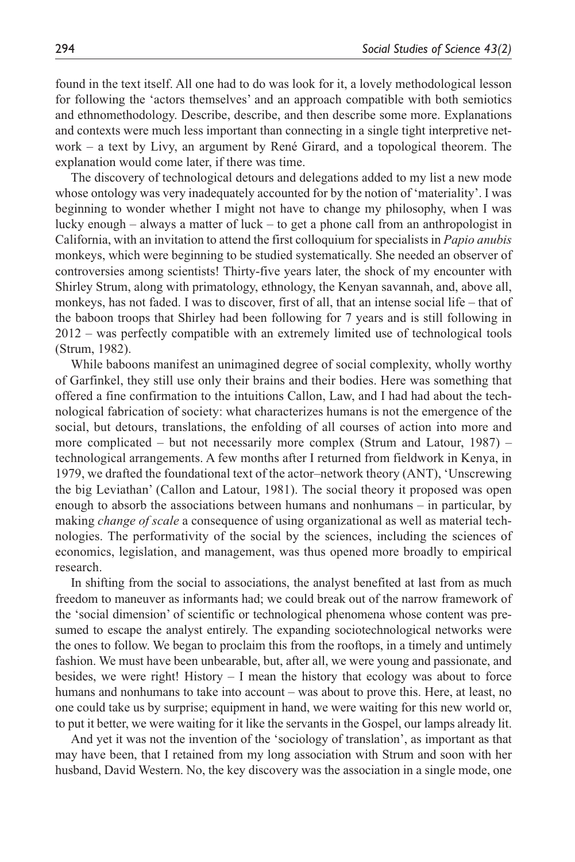found in the text itself. All one had to do was look for it, a lovely methodological lesson for following the 'actors themselves' and an approach compatible with both semiotics and ethnomethodology. Describe, describe, and then describe some more. Explanations and contexts were much less important than connecting in a single tight interpretive network – a text by Livy, an argument by René Girard, and a topological theorem. The explanation would come later, if there was time.

The discovery of technological detours and delegations added to my list a new mode whose ontology was very inadequately accounted for by the notion of 'materiality'. I was beginning to wonder whether I might not have to change my philosophy, when I was lucky enough – always a matter of luck – to get a phone call from an anthropologist in California, with an invitation to attend the first colloquium for specialists in *Papio anubis* monkeys, which were beginning to be studied systematically. She needed an observer of controversies among scientists! Thirty-five years later, the shock of my encounter with Shirley Strum, along with primatology, ethnology, the Kenyan savannah, and, above all, monkeys, has not faded. I was to discover, first of all, that an intense social life – that of the baboon troops that Shirley had been following for 7 years and is still following in 2012 – was perfectly compatible with an extremely limited use of technological tools (Strum, 1982).

While baboons manifest an unimagined degree of social complexity, wholly worthy of Garfinkel, they still use only their brains and their bodies. Here was something that offered a fine confirmation to the intuitions Callon, Law, and I had had about the technological fabrication of society: what characterizes humans is not the emergence of the social, but detours, translations, the enfolding of all courses of action into more and more complicated – but not necessarily more complex (Strum and Latour, 1987) – technological arrangements. A few months after I returned from fieldwork in Kenya, in 1979, we drafted the foundational text of the actor–network theory (ANT), 'Unscrewing the big Leviathan' (Callon and Latour, 1981). The social theory it proposed was open enough to absorb the associations between humans and nonhumans – in particular, by making *change of scale* a consequence of using organizational as well as material technologies. The performativity of the social by the sciences, including the sciences of economics, legislation, and management, was thus opened more broadly to empirical research.

In shifting from the social to associations, the analyst benefited at last from as much freedom to maneuver as informants had; we could break out of the narrow framework of the 'social dimension' of scientific or technological phenomena whose content was presumed to escape the analyst entirely. The expanding sociotechnological networks were the ones to follow. We began to proclaim this from the rooftops, in a timely and untimely fashion. We must have been unbearable, but, after all, we were young and passionate, and besides, we were right! History – I mean the history that ecology was about to force humans and nonhumans to take into account – was about to prove this. Here, at least, no one could take us by surprise; equipment in hand, we were waiting for this new world or, to put it better, we were waiting for it like the servants in the Gospel, our lamps already lit.

And yet it was not the invention of the 'sociology of translation', as important as that may have been, that I retained from my long association with Strum and soon with her husband, David Western. No, the key discovery was the association in a single mode, one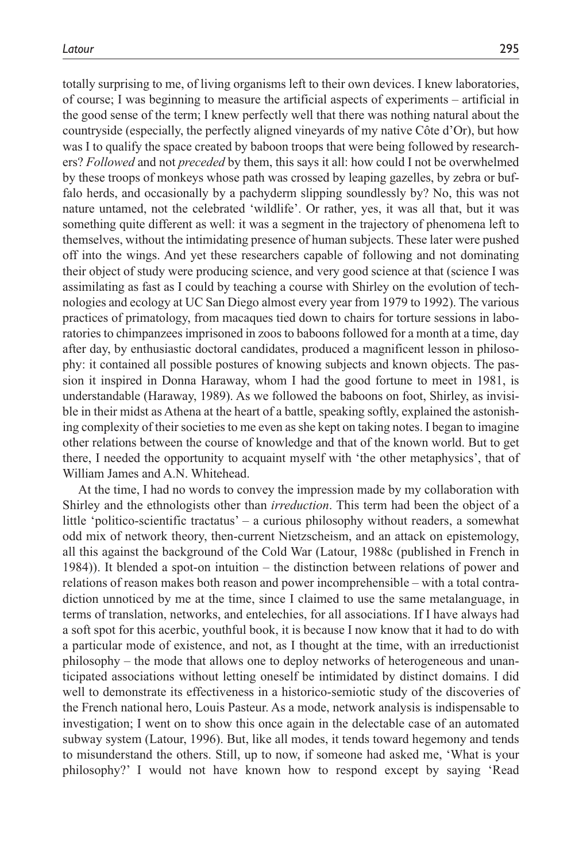totally surprising to me, of living organisms left to their own devices. I knew laboratories, of course; I was beginning to measure the artificial aspects of experiments – artificial in the good sense of the term; I knew perfectly well that there was nothing natural about the countryside (especially, the perfectly aligned vineyards of my native Côte d'Or), but how was I to qualify the space created by baboon troops that were being followed by researchers? *Followed* and not *preceded* by them, this says it all: how could I not be overwhelmed by these troops of monkeys whose path was crossed by leaping gazelles, by zebra or buffalo herds, and occasionally by a pachyderm slipping soundlessly by? No, this was not nature untamed, not the celebrated 'wildlife'. Or rather, yes, it was all that, but it was

something quite different as well: it was a segment in the trajectory of phenomena left to themselves, without the intimidating presence of human subjects. These later were pushed off into the wings. And yet these researchers capable of following and not dominating their object of study were producing science, and very good science at that (science I was assimilating as fast as I could by teaching a course with Shirley on the evolution of technologies and ecology at UC San Diego almost every year from 1979 to 1992). The various practices of primatology, from macaques tied down to chairs for torture sessions in laboratories to chimpanzees imprisoned in zoos to baboons followed for a month at a time, day after day, by enthusiastic doctoral candidates, produced a magnificent lesson in philosophy: it contained all possible postures of knowing subjects and known objects. The passion it inspired in Donna Haraway, whom I had the good fortune to meet in 1981, is understandable (Haraway, 1989). As we followed the baboons on foot, Shirley, as invisible in their midst as Athena at the heart of a battle, speaking softly, explained the astonishing complexity of their societies to me even as she kept on taking notes. I began to imagine other relations between the course of knowledge and that of the known world. But to get there, I needed the opportunity to acquaint myself with 'the other metaphysics', that of William James and A.N. Whitehead.

At the time, I had no words to convey the impression made by my collaboration with Shirley and the ethnologists other than *irreduction*. This term had been the object of a little 'politico-scientific tractatus' – a curious philosophy without readers, a somewhat odd mix of network theory, then-current Nietzscheism, and an attack on epistemology, all this against the background of the Cold War (Latour, 1988c (published in French in 1984)). It blended a spot-on intuition – the distinction between relations of power and relations of reason makes both reason and power incomprehensible – with a total contradiction unnoticed by me at the time, since I claimed to use the same metalanguage, in terms of translation, networks, and entelechies, for all associations. If I have always had a soft spot for this acerbic, youthful book, it is because I now know that it had to do with a particular mode of existence, and not, as I thought at the time, with an irreductionist philosophy – the mode that allows one to deploy networks of heterogeneous and unanticipated associations without letting oneself be intimidated by distinct domains. I did well to demonstrate its effectiveness in a historico-semiotic study of the discoveries of the French national hero, Louis Pasteur. As a mode, network analysis is indispensable to investigation; I went on to show this once again in the delectable case of an automated subway system (Latour, 1996). But, like all modes, it tends toward hegemony and tends to misunderstand the others. Still, up to now, if someone had asked me, 'What is your philosophy?' I would not have known how to respond except by saying 'Read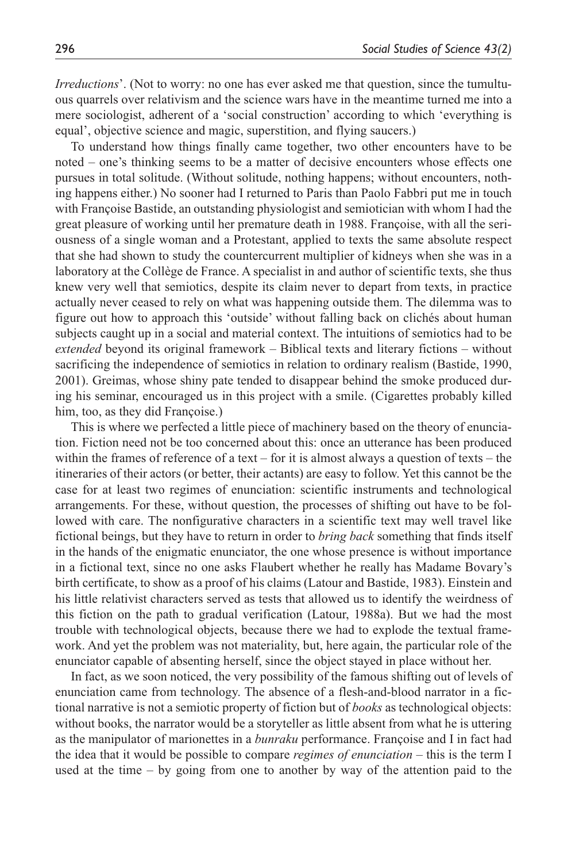*Irreductions*'. (Not to worry: no one has ever asked me that question, since the tumultuous quarrels over relativism and the science wars have in the meantime turned me into a mere sociologist, adherent of a 'social construction' according to which 'everything is equal', objective science and magic, superstition, and flying saucers.)

To understand how things finally came together, two other encounters have to be noted – one's thinking seems to be a matter of decisive encounters whose effects one pursues in total solitude. (Without solitude, nothing happens; without encounters, nothing happens either.) No sooner had I returned to Paris than Paolo Fabbri put me in touch with Françoise Bastide, an outstanding physiologist and semiotician with whom I had the great pleasure of working until her premature death in 1988. Françoise, with all the seriousness of a single woman and a Protestant, applied to texts the same absolute respect that she had shown to study the countercurrent multiplier of kidneys when she was in a laboratory at the Collège de France. A specialist in and author of scientific texts, she thus knew very well that semiotics, despite its claim never to depart from texts, in practice actually never ceased to rely on what was happening outside them. The dilemma was to figure out how to approach this 'outside' without falling back on clichés about human subjects caught up in a social and material context. The intuitions of semiotics had to be *extended* beyond its original framework – Biblical texts and literary fictions – without sacrificing the independence of semiotics in relation to ordinary realism (Bastide, 1990, 2001). Greimas, whose shiny pate tended to disappear behind the smoke produced during his seminar, encouraged us in this project with a smile. (Cigarettes probably killed him, too, as they did Françoise.)

This is where we perfected a little piece of machinery based on the theory of enunciation. Fiction need not be too concerned about this: once an utterance has been produced within the frames of reference of a text – for it is almost always a question of texts – the itineraries of their actors (or better, their actants) are easy to follow. Yet this cannot be the case for at least two regimes of enunciation: scientific instruments and technological arrangements. For these, without question, the processes of shifting out have to be followed with care. The nonfigurative characters in a scientific text may well travel like fictional beings, but they have to return in order to *bring back* something that finds itself in the hands of the enigmatic enunciator, the one whose presence is without importance in a fictional text, since no one asks Flaubert whether he really has Madame Bovary's birth certificate, to show as a proof of his claims (Latour and Bastide, 1983). Einstein and his little relativist characters served as tests that allowed us to identify the weirdness of this fiction on the path to gradual verification (Latour, 1988a). But we had the most trouble with technological objects, because there we had to explode the textual framework. And yet the problem was not materiality, but, here again, the particular role of the enunciator capable of absenting herself, since the object stayed in place without her.

In fact, as we soon noticed, the very possibility of the famous shifting out of levels of enunciation came from technology. The absence of a flesh-and-blood narrator in a fictional narrative is not a semiotic property of fiction but of *books* as technological objects: without books, the narrator would be a storyteller as little absent from what he is uttering as the manipulator of marionettes in a *bunraku* performance. Françoise and I in fact had the idea that it would be possible to compare *regimes of enunciation* – this is the term I used at the time – by going from one to another by way of the attention paid to the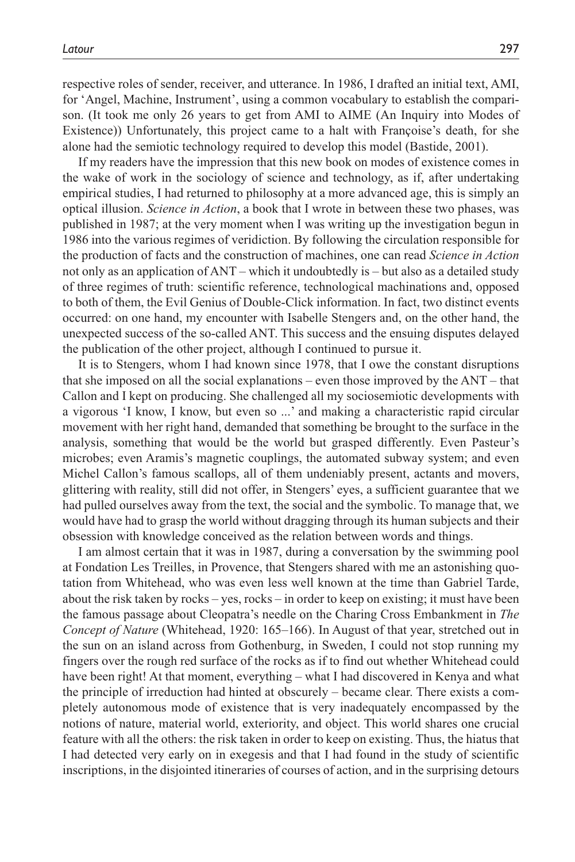respective roles of sender, receiver, and utterance. In 1986, I drafted an initial text, AMI, for 'Angel, Machine, Instrument', using a common vocabulary to establish the comparison. (It took me only 26 years to get from AMI to AIME (An Inquiry into Modes of Existence)) Unfortunately, this project came to a halt with Françoise's death, for she alone had the semiotic technology required to develop this model (Bastide, 2001).

If my readers have the impression that this new book on modes of existence comes in the wake of work in the sociology of science and technology, as if, after undertaking empirical studies, I had returned to philosophy at a more advanced age, this is simply an optical illusion. *Science in Action*, a book that I wrote in between these two phases, was published in 1987; at the very moment when I was writing up the investigation begun in 1986 into the various regimes of veridiction. By following the circulation responsible for the production of facts and the construction of machines, one can read *Science in Action* not only as an application of ANT – which it undoubtedly is – but also as a detailed study of three regimes of truth: scientific reference, technological machinations and, opposed to both of them, the Evil Genius of Double-Click information. In fact, two distinct events occurred: on one hand, my encounter with Isabelle Stengers and, on the other hand, the unexpected success of the so-called ANT. This success and the ensuing disputes delayed the publication of the other project, although I continued to pursue it.

It is to Stengers, whom I had known since 1978, that I owe the constant disruptions that she imposed on all the social explanations – even those improved by the ANT – that Callon and I kept on producing. She challenged all my sociosemiotic developments with a vigorous 'I know, I know, but even so ...' and making a characteristic rapid circular movement with her right hand, demanded that something be brought to the surface in the analysis, something that would be the world but grasped differently. Even Pasteur's microbes; even Aramis's magnetic couplings, the automated subway system; and even Michel Callon's famous scallops, all of them undeniably present, actants and movers, glittering with reality, still did not offer, in Stengers' eyes, a sufficient guarantee that we had pulled ourselves away from the text, the social and the symbolic. To manage that, we would have had to grasp the world without dragging through its human subjects and their obsession with knowledge conceived as the relation between words and things.

I am almost certain that it was in 1987, during a conversation by the swimming pool at Fondation Les Treilles, in Provence, that Stengers shared with me an astonishing quotation from Whitehead, who was even less well known at the time than Gabriel Tarde, about the risk taken by rocks – yes, rocks – in order to keep on existing; it must have been the famous passage about Cleopatra's needle on the Charing Cross Embankment in *The Concept of Nature* (Whitehead, 1920: 165–166). In August of that year, stretched out in the sun on an island across from Gothenburg, in Sweden, I could not stop running my fingers over the rough red surface of the rocks as if to find out whether Whitehead could have been right! At that moment, everything – what I had discovered in Kenya and what the principle of irreduction had hinted at obscurely – became clear. There exists a completely autonomous mode of existence that is very inadequately encompassed by the notions of nature, material world, exteriority, and object. This world shares one crucial feature with all the others: the risk taken in order to keep on existing. Thus, the hiatus that I had detected very early on in exegesis and that I had found in the study of scientific inscriptions, in the disjointed itineraries of courses of action, and in the surprising detours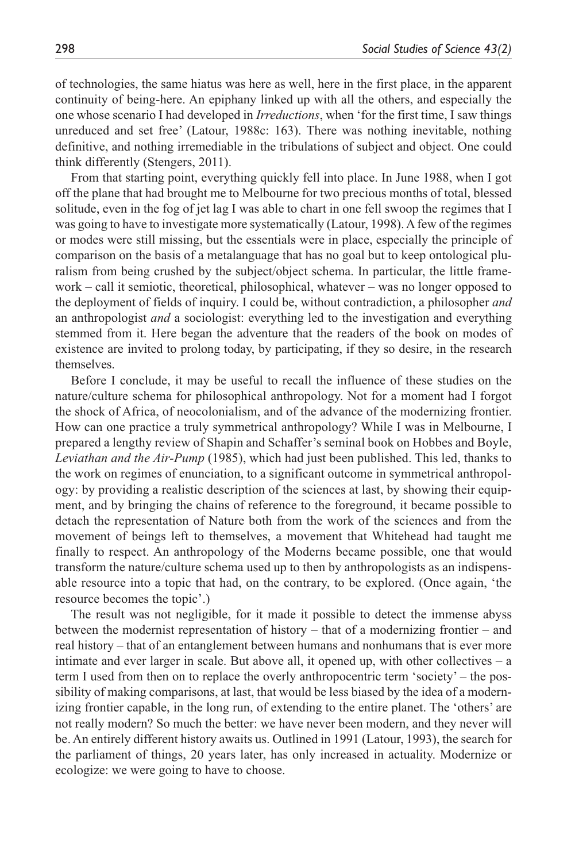of technologies, the same hiatus was here as well, here in the first place, in the apparent continuity of being-here. An epiphany linked up with all the others, and especially the one whose scenario I had developed in *Irreductions*, when 'for the first time, I saw things unreduced and set free' (Latour, 1988c: 163). There was nothing inevitable, nothing definitive, and nothing irremediable in the tribulations of subject and object. One could think differently (Stengers, 2011).

From that starting point, everything quickly fell into place. In June 1988, when I got off the plane that had brought me to Melbourne for two precious months of total, blessed solitude, even in the fog of jet lag I was able to chart in one fell swoop the regimes that I was going to have to investigate more systematically (Latour, 1998). A few of the regimes or modes were still missing, but the essentials were in place, especially the principle of comparison on the basis of a metalanguage that has no goal but to keep ontological pluralism from being crushed by the subject/object schema. In particular, the little framework – call it semiotic, theoretical, philosophical, whatever – was no longer opposed to the deployment of fields of inquiry. I could be, without contradiction, a philosopher *and* an anthropologist *and* a sociologist: everything led to the investigation and everything stemmed from it. Here began the adventure that the readers of the book on modes of existence are invited to prolong today, by participating, if they so desire, in the research themselves.

Before I conclude, it may be useful to recall the influence of these studies on the nature/culture schema for philosophical anthropology. Not for a moment had I forgot the shock of Africa, of neocolonialism, and of the advance of the modernizing frontier. How can one practice a truly symmetrical anthropology? While I was in Melbourne, I prepared a lengthy review of Shapin and Schaffer's seminal book on Hobbes and Boyle, *Leviathan and the Air-Pump* (1985), which had just been published. This led, thanks to the work on regimes of enunciation, to a significant outcome in symmetrical anthropology: by providing a realistic description of the sciences at last, by showing their equipment, and by bringing the chains of reference to the foreground, it became possible to detach the representation of Nature both from the work of the sciences and from the movement of beings left to themselves, a movement that Whitehead had taught me finally to respect. An anthropology of the Moderns became possible, one that would transform the nature/culture schema used up to then by anthropologists as an indispensable resource into a topic that had, on the contrary, to be explored. (Once again, 'the resource becomes the topic'.)

The result was not negligible, for it made it possible to detect the immense abyss between the modernist representation of history – that of a modernizing frontier – and real history – that of an entanglement between humans and nonhumans that is ever more intimate and ever larger in scale. But above all, it opened up, with other collectives – a term I used from then on to replace the overly anthropocentric term 'society' – the possibility of making comparisons, at last, that would be less biased by the idea of a modernizing frontier capable, in the long run, of extending to the entire planet. The 'others' are not really modern? So much the better: we have never been modern, and they never will be. An entirely different history awaits us. Outlined in 1991 (Latour, 1993), the search for the parliament of things, 20 years later, has only increased in actuality. Modernize or ecologize: we were going to have to choose.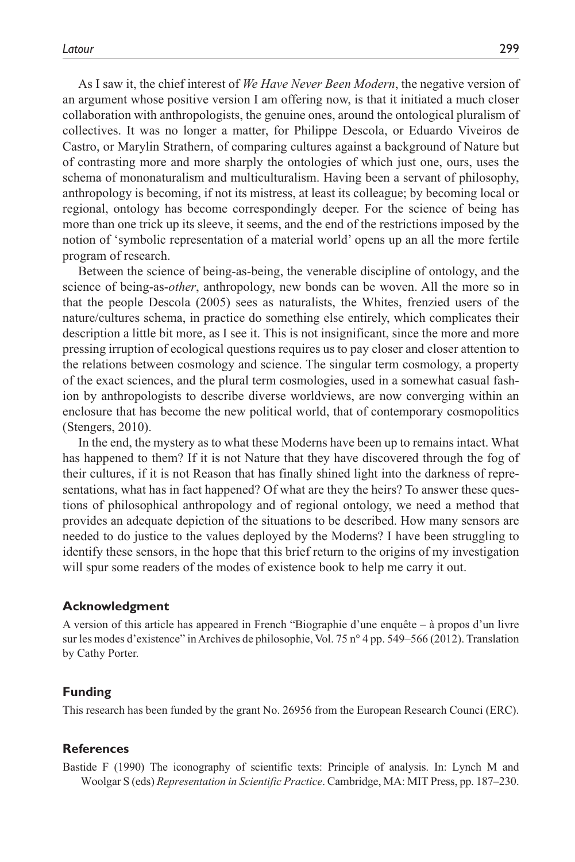As I saw it, the chief interest of *We Have Never Been Modern*, the negative version of an argument whose positive version I am offering now, is that it initiated a much closer collaboration with anthropologists, the genuine ones, around the ontological pluralism of collectives. It was no longer a matter, for Philippe Descola, or Eduardo Viveiros de Castro, or Marylin Strathern, of comparing cultures against a background of Nature but of contrasting more and more sharply the ontologies of which just one, ours, uses the schema of mononaturalism and multiculturalism. Having been a servant of philosophy, anthropology is becoming, if not its mistress, at least its colleague; by becoming local or regional, ontology has become correspondingly deeper. For the science of being has more than one trick up its sleeve, it seems, and the end of the restrictions imposed by the notion of 'symbolic representation of a material world' opens up an all the more fertile program of research.

Between the science of being-as-being, the venerable discipline of ontology, and the science of being-as-*other*, anthropology, new bonds can be woven. All the more so in that the people Descola (2005) sees as naturalists, the Whites, frenzied users of the nature/cultures schema, in practice do something else entirely, which complicates their description a little bit more, as I see it. This is not insignificant, since the more and more pressing irruption of ecological questions requires us to pay closer and closer attention to the relations between cosmology and science. The singular term cosmology, a property of the exact sciences, and the plural term cosmologies, used in a somewhat casual fashion by anthropologists to describe diverse worldviews, are now converging within an enclosure that has become the new political world, that of contemporary cosmopolitics (Stengers, 2010).

In the end, the mystery as to what these Moderns have been up to remains intact. What has happened to them? If it is not Nature that they have discovered through the fog of their cultures, if it is not Reason that has finally shined light into the darkness of representations, what has in fact happened? Of what are they the heirs? To answer these questions of philosophical anthropology and of regional ontology, we need a method that provides an adequate depiction of the situations to be described. How many sensors are needed to do justice to the values deployed by the Moderns? I have been struggling to identify these sensors, in the hope that this brief return to the origins of my investigation will spur some readers of the modes of existence book to help me carry it out.

#### **Acknowledgment**

A version of this article has appeared in French "Biographie d'une enquête – à propos d'un livre sur les modes d'existence" in Archives de philosophie, Vol. 75 n° 4 pp. 549–566 (2012). Translation by Cathy Porter.

#### **Funding**

This research has been funded by the grant No. 26956 from the European Research Counci (ERC).

#### **References**

Bastide F (1990) The iconography of scientific texts: Principle of analysis. In: Lynch M and Woolgar S (eds) *Representation in Scientific Practice*. Cambridge, MA: MIT Press, pp. 187–230.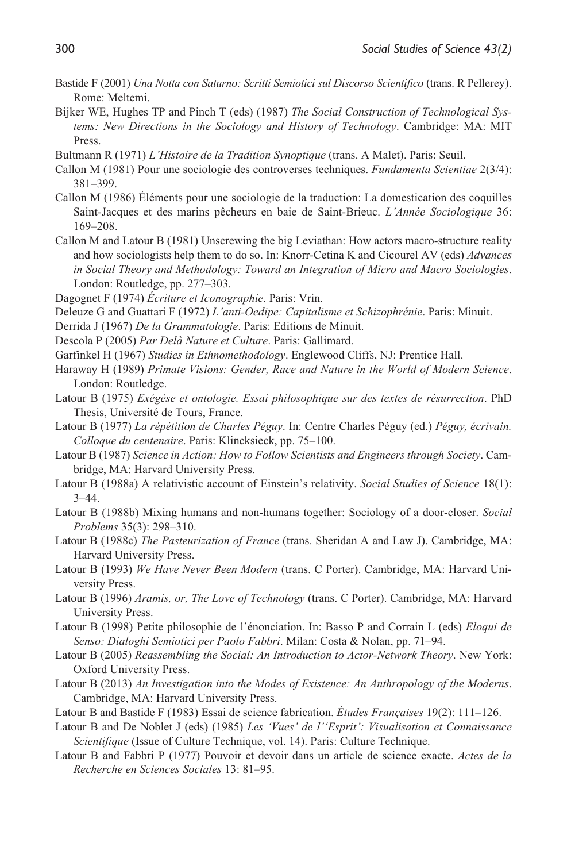- Bastide F (2001) *Una Notta con Saturno: Scritti Semiotici sul Discorso Scientifico* (trans. R Pellerey). Rome: Meltemi.
- Bijker WE, Hughes TP and Pinch T (eds) (1987) *The Social Construction of Technological Systems: New Directions in the Sociology and History of Technology*. Cambridge: MA: MIT Press.

Bultmann R (1971) *L'Histoire de la Tradition Synoptique* (trans. A Malet). Paris: Seuil.

- Callon M (1981) Pour une sociologie des controverses techniques. *Fundamenta Scientiae* 2(3/4): 381–399.
- Callon M (1986) Éléments pour une sociologie de la traduction: La domestication des coquilles Saint-Jacques et des marins pêcheurs en baie de Saint-Brieuc. *L'Année Sociologique* 36: 169–208.
- Callon M and Latour B (1981) Unscrewing the big Leviathan: How actors macro-structure reality and how sociologists help them to do so. In: Knorr-Cetina K and Cicourel AV (eds) *Advances in Social Theory and Methodology: Toward an Integration of Micro and Macro Sociologies*. London: Routledge, pp. 277–303.

Dagognet F (1974) *Écriture et Iconographie*. Paris: Vrin.

Deleuze G and Guattari F (1972) *L'anti-Oedipe: Capitalisme et Schizophrénie*. Paris: Minuit.

- Derrida J (1967) *De la Grammatologie*. Paris: Editions de Minuit.
- Descola P (2005) *Par Delà Nature et Culture*. Paris: Gallimard.
- Garfinkel H (1967) *Studies in Ethnomethodology*. Englewood Cliffs, NJ: Prentice Hall.
- Haraway H (1989) *Primate Visions: Gender, Race and Nature in the World of Modern Science*. London: Routledge.
- Latour B (1975) *Exégèse et ontologie. Essai philosophique sur des textes de résurrection*. PhD Thesis, Université de Tours, France.
- Latour B (1977) *La répétition de Charles Péguy*. In: Centre Charles Péguy (ed.) *Péguy, écrivain. Colloque du centenaire*. Paris: Klincksieck, pp. 75–100.
- Latour B (1987) *Science in Action: How to Follow Scientists and Engineers through Society*. Cambridge, MA: Harvard University Press.
- Latour B (1988a) A relativistic account of Einstein's relativity. *Social Studies of Science* 18(1): 3–44.
- Latour B (1988b) Mixing humans and non-humans together: Sociology of a door-closer. *Social Problems* 35(3): 298–310.
- Latour B (1988c) *The Pasteurization of France* (trans. Sheridan A and Law J). Cambridge, MA: Harvard University Press.
- Latour B (1993) *We Have Never Been Modern* (trans. C Porter). Cambridge, MA: Harvard University Press.
- Latour B (1996) *Aramis, or, The Love of Technology* (trans. C Porter). Cambridge, MA: Harvard University Press.
- Latour B (1998) Petite philosophie de l'énonciation. In: Basso P and Corrain L (eds) *Eloqui de Senso: Dialoghi Semiotici per Paolo Fabbri*. Milan: Costa & Nolan, pp. 71–94.
- Latour B (2005) *Reassembling the Social: An Introduction to Actor-Network Theory*. New York: Oxford University Press.
- Latour B (2013) *An Investigation into the Modes of Existence: An Anthropology of the Moderns*. Cambridge, MA: Harvard University Press.
- Latour B and Bastide F (1983) Essai de science fabrication. *Études Françaises* 19(2): 111–126.
- Latour B and De Noblet J (eds) (1985) *Les 'Vues' de l''Esprit': Visualisation et Connaissance Scientifique* (Issue of Culture Technique, vol. 14). Paris: Culture Technique.
- Latour B and Fabbri P (1977) Pouvoir et devoir dans un article de science exacte. *Actes de la Recherche en Sciences Sociales* 13: 81–95.